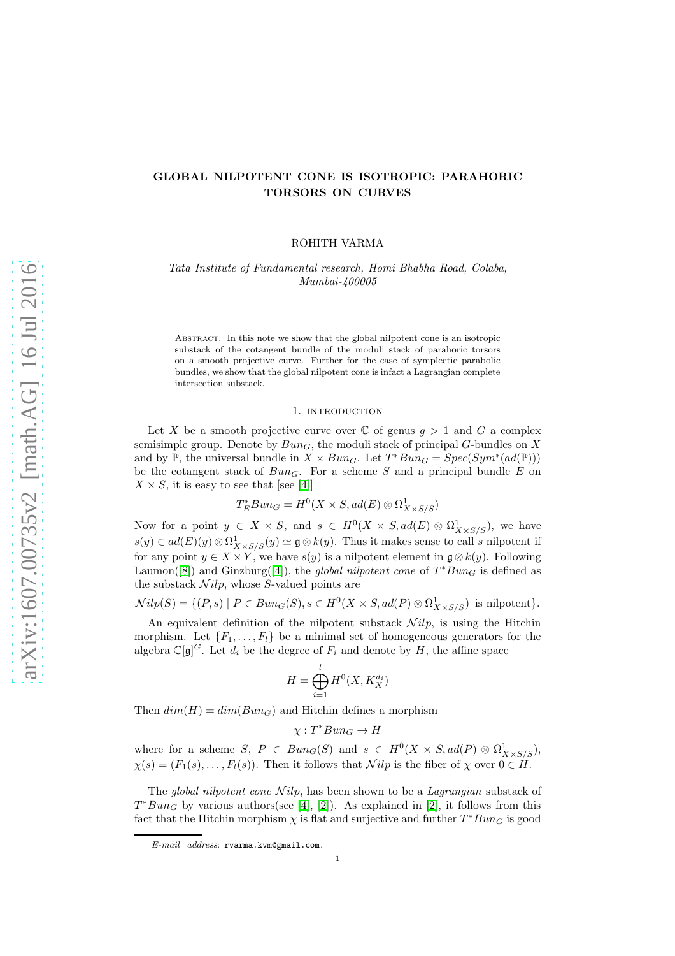## GLOBAL NILPOTENT CONE IS ISOTROPIC: PARAHORIC TORSORS ON CURVES

ROHITH VARMA

*Tata Institute of Fundamental research, Homi Bhabha Road, Colaba, Mumbai-400005*

Abstract. In this note we show that the global nilpotent cone is an isotropic substack of the cotangent bundle of the moduli stack of parahoric torsors on a smooth projective curve. Further for the case of symplectic parabolic bundles, we show that the global nilpotent cone is infact a Lagrangian complete intersection substack.

#### 1. INTRODUCTION

Let X be a smooth projective curve over  $\mathbb C$  of genus  $g > 1$  and G a complex semisimple group. Denote by  $Bun_G$ , the moduli stack of principal G-bundles on X and by  $\mathbb{P}$ , the universal bundle in  $X \times Bun_G$ . Let  $T^*Bun_G = Spec(Sym^*(ad(\mathbb{P})))$ be the cotangent stack of  $Bun_G$ . For a scheme S and a principal bundle E on  $X \times S$ , it is easy to see that [see [\[4\]](#page-10-0)]

$$
T_E^*Bun_G = H^0(X \times S, ad(E) \otimes \Omega^1_{X \times S/S})
$$

Now for a point  $y \in X \times S$ , and  $s \in H^0(X \times S, ad(E) \otimes \Omega^1_{X \times S/S})$ , we have  $s(y) \in ad(E)(y) \otimes \Omega^1_{X \times S/S}(y) \simeq \mathfrak{g} \otimes k(y)$ . Thus it makes sense to call s nilpotent if for any point  $y \in X \times Y$ , we have  $s(y)$  is a nilpotent element in  $\mathfrak{g} \otimes k(y)$ . Following Laumon([\[8\]](#page-10-1)) and Ginzburg([\[4\]](#page-10-0)), the *global nilpotent cone* of  $T^*Bun_G$  is defined as the substack  $Nilp$ , whose S-valued points are

 $Nilp(S) = \{(P, s) \mid P \in Bun_G(S), s \in H^0(X \times S, ad(P) \otimes \Omega^1_{X \times S/S}) \text{ is nilpotent}\}.$ 

An equivalent definition of the nilpotent substack  $Nilp$ , is using the Hitchin morphism. Let  $\{F_1, \ldots, F_l\}$  be a minimal set of homogeneous generators for the algebra  $\mathbb{C}[\mathfrak{g}]^G$ . Let  $d_i$  be the degree of  $F_i$  and denote by H, the affine space

$$
H = \bigoplus_{i=1}^{l} H^0(X, K_X^{d_i})
$$

Then  $dim(H) = dim(Bun_G)$  and Hitchin defines a morphism

 $\chi : T^*Bun_G \to H$ 

where for a scheme  $S, P \in Bun_G(S)$  and  $s \in H^0(X \times S, ad(P) \otimes \Omega^1_{X \times S/S}),$  $\chi(s) = (F_1(s), \ldots, F_l(s))$ . Then it follows that  $\mathcal{N}ilp$  is the fiber of  $\chi$  over  $0 \in H$ .

The *global nilpotent cone*  $Nilp$ , has been shown to be a *Lagrangian* substack of  $T^*Bun_G$  by various authors(see [\[4\]](#page-10-0), [\[2\]](#page-10-2)). As explained in [2], it follows from this fact that the Hitchin morphism  $\chi$  is flat and surjective and further  $T^*Bun_G$  is good

E-mail address: rvarma.kvm@gmail.com.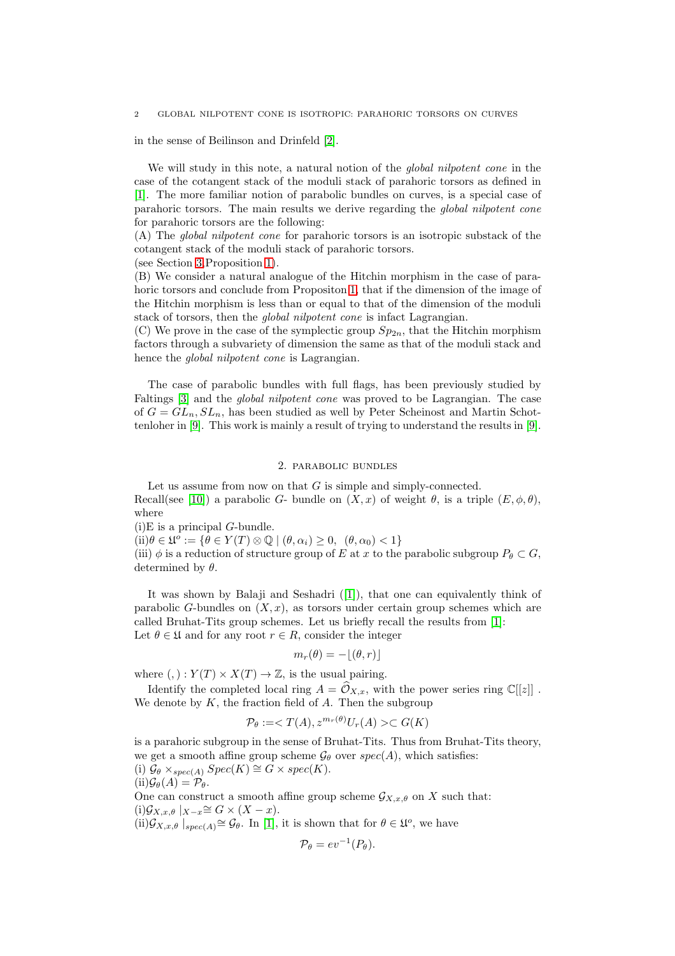#### 2 GLOBAL NILPOTENT CONE IS ISOTROPIC: PARAHORIC TORSORS ON CURVES

in the sense of Beilinson and Drinfeld [\[2\]](#page-10-2).

We will study in this note, a natural notion of the *global nilpotent cone* in the case of the cotangent stack of the moduli stack of parahoric torsors as defined in [\[1\]](#page-10-3). The more familiar notion of parabolic bundles on curves, is a special case of parahoric torsors. The main results we derive regarding the *global nilpotent cone* for parahoric torsors are the following:

(A) The *global nilpotent cone* for parahoric torsors is an isotropic substack of the cotangent stack of the moduli stack of parahoric torsors.

(see Section [3,](#page-2-0)Proposition [1\)](#page-2-1).

(B) We consider a natural analogue of the Hitchin morphism in the case of parahoric torsors and conclude from Propositon [1,](#page-2-1) that if the dimension of the image of the Hitchin morphism is less than or equal to that of the dimension of the moduli stack of torsors, then the *global nilpotent cone* is infact Lagrangian.

(C) We prove in the case of the symplectic group  $Sp_{2n}$ , that the Hitchin morphism factors through a subvariety of dimension the same as that of the moduli stack and hence the *global nilpotent cone* is Lagrangian.

The case of parabolic bundles with full flags, has been previously studied by Faltings [\[3\]](#page-10-4) and the *global nilpotent cone* was proved to be Lagrangian. The case of  $G = GL_n, SL_n$ , has been studied as well by Peter Scheinost and Martin Schottenloher in [\[9\]](#page-10-5). This work is mainly a result of trying to understand the results in [\[9\]](#page-10-5).

#### 2. parabolic bundles

Let us assume from now on that  $G$  is simple and simply-connected. Recall(see [\[10\]](#page-10-6)) a parabolic G- bundle on  $(X, x)$  of weight  $\theta$ , is a triple  $(E, \phi, \theta)$ , where

 $(i)$ E is a principal *G*-bundle.

 $(ii)\theta \in \mathfrak{U}^{\circ} := \{ \theta \in Y(T) \otimes \mathbb{Q} \mid (\theta, \alpha_i) \geq 0, \ (\theta, \alpha_0) < 1 \}$ 

(iii)  $\phi$  is a reduction of structure group of E at x to the parabolic subgroup  $P_{\theta} \subset G$ , determined by  $\theta$ .

It was shown by Balaji and Seshadri([\[1\]](#page-10-3)), that one can equivalently think of parabolic G-bundles on  $(X, x)$ , as torsors under certain group schemes which are called Bruhat-Tits group schemes. Let us briefly recall the results from [\[1\]](#page-10-3): Let  $\theta \in \mathfrak{U}$  and for any root  $r \in R$ , consider the integer

$$
m_r(\theta) = -\lfloor (\theta,r) \rfloor
$$

where  $(,) : Y(T) \times X(T) \rightarrow \mathbb{Z}$ , is the usual pairing.

Identify the completed local ring  $A = \hat{\mathcal{O}}_{X,x}$ , with the power series ring  $\mathbb{C}[[z]]$ . We denote by  $K$ , the fraction field of  $A$ . Then the subgroup

$$
\mathcal{P}_{\theta} := \langle T(A), z^{m_r(\theta)} U_r(A) \rangle \subset G(K)
$$

is a parahoric subgroup in the sense of Bruhat-Tits. Thus from Bruhat-Tits theory, we get a smooth affine group scheme  $\mathcal{G}_{\theta}$  over  $spec(A)$ , which satisfies: (i)  $\mathcal{G}_{\theta} \times_{spec(A)} Spec(K) \cong G \times spec(K).$  $(ii) \mathcal{G}_{\theta}(A) = \mathcal{P}_{\theta}.$ One can construct a smooth affine group scheme  $\mathcal{G}_{X,x,\theta}$  on X such that:

 $(i)\mathcal{G}_{X,x,\theta}|_{X-x}\cong G\times (X-x).$ 

 $(ii)$  $\mathcal{G}_{X,x,\theta}$  | $_{spec(A)} \cong \mathcal{G}_{\theta}$ . In [\[1\]](#page-10-3), it is shown that for  $\theta \in \mathfrak{U}^o$ , we have

$$
\mathcal{P}_{\theta} = ev^{-1}(P_{\theta}).
$$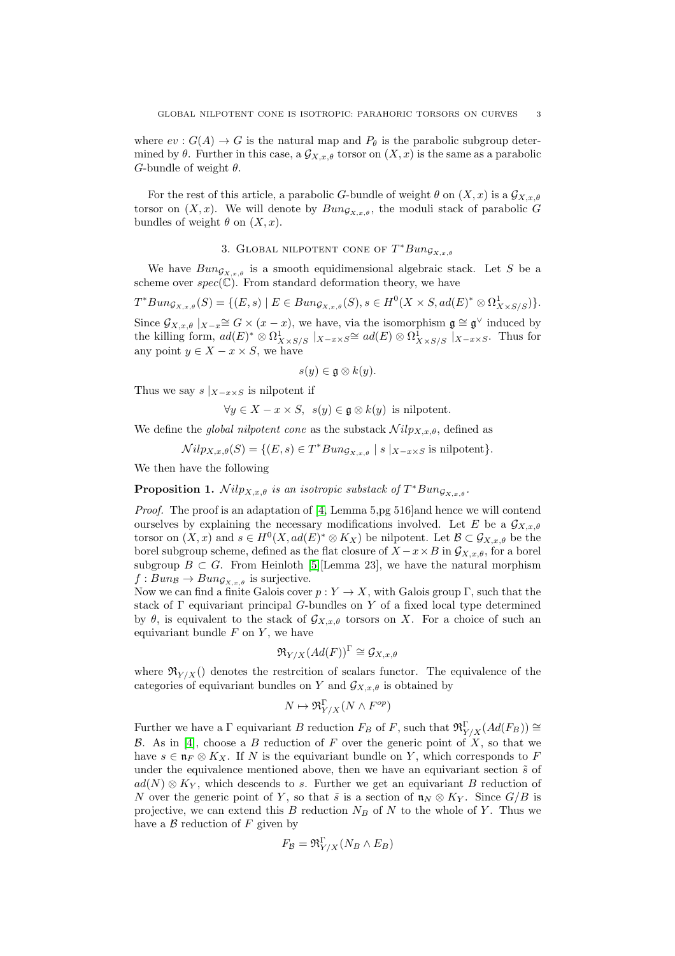where  $ev: G(A) \to G$  is the natural map and  $P_{\theta}$  is the parabolic subgroup determined by  $\theta$ . Further in this case, a  $\mathcal{G}_{X,x,\theta}$  torsor on  $(X,x)$  is the same as a parabolic G-bundle of weight  $\theta$ .

For the rest of this article, a parabolic G-bundle of weight  $\theta$  on  $(X, x)$  is a  $\mathcal{G}_{X, x, \theta}$ torsor on  $(X, x)$ . We will denote by  $Bun_{G_{X, x, \theta}}$ , the moduli stack of parabolic G bundles of weight  $\theta$  on  $(X, x)$ .

# 3. GLOBAL NILPOTENT CONE OF  $T^*Bun_{\mathcal{G}_{X,x,\theta}}$

<span id="page-2-0"></span>We have  $Bun_{G_{X,x,\theta}}$  is a smooth equidimensional algebraic stack. Let S be a scheme over  $spec(\mathbb{C})$ . From standard deformation theory, we have

$$
T^*Bun_{\mathcal{G}_{X,x,\theta}}(S) = \{(E,s) \mid E \in Bun_{\mathcal{G}_{X,x,\theta}}(S), s \in H^0(X \times S, ad(E)^* \otimes \Omega^1_{X \times S/S})\}.
$$

Since  $\mathcal{G}_{X,x,\theta}|_{X-x} \cong G \times (x-x)$ , we have, via the isomorphism  $\mathfrak{g} \cong \mathfrak{g}^{\vee}$  induced by the killing form,  $ad(E)^* \otimes \Omega^1_{X \times S/S}$   $|x_{-x \times S} \cong ad(E) \otimes \Omega^1_{X \times S/S}$   $|x_{-x \times S}$ . Thus for any point  $y \in X - x \times S$ , we have

$$
s(y)\in \mathfrak{g}\otimes k(y).
$$

Thus we say  $s \mid_{X-x \times S}$  is nilpotent if

$$
\forall y \in X - x \times S, \ s(y) \in \mathfrak{g} \otimes k(y) \text{ is nilpotent.}
$$

We define the *global nilpotent cone* as the substack  $\mathcal{N}ilp_{X,x,\theta}$ , defined as

 $Nilp_{X,x,\theta}(S) = \{(E,s) \in T^*Bun_{\mathcal{G}_{X,x,\theta}} \mid s \mid_{X-x \times S} \text{ is nilpotent}\}.$ 

We then have the following

<span id="page-2-1"></span>**Proposition 1.**  $\mathcal{N}ilp_{X,x,\theta}$  *is an isotropic substack of*  $T^*Bun_{\mathcal{G}_{X,x,\theta}}$ .

*Proof.* The proof is an adaptation of [\[4,](#page-10-0) Lemma 5,pg 516] and hence we will contend ourselves by explaining the necessary modifications involved. Let E be a  $\mathcal{G}_{X,x,\theta}$ torsor on  $(X, x)$  and  $s \in H^0(X, ad(E)^* \otimes K_X)$  be nilpotent. Let  $\mathcal{B} \subset \mathcal{G}_{X, x, \theta}$  be the borel subgroup scheme, defined as the flat closure of  $X - x \times B$  in  $\mathcal{G}_{X,x,\theta}$ , for a borel subgroup  $B \subset G$ . From Heinloth [\[5\]](#page-10-7)[Lemma 23], we have the natural morphism  $f : Bun_{\mathcal{B}} \to Bun_{\mathcal{G}_{X,x,\theta}}$  is surjective.

Now we can find a finite Galois cover  $p: Y \to X$ , with Galois group Γ, such that the stack of  $\Gamma$  equivariant principal G-bundles on Y of a fixed local type determined by  $\theta$ , is equivalent to the stack of  $\mathcal{G}_{X,x,\theta}$  torsors on X. For a choice of such an equivariant bundle  $F$  on  $Y$ , we have

$$
\mathfrak{R}_{Y/X}(Ad(F))^{\Gamma} \cong \mathcal{G}_{X,x,\theta}
$$

where  $\Re_{Y/X}$  denotes the restrcition of scalars functor. The equivalence of the categories of equivariant bundles on Y and  $\mathcal{G}_{X,x,\theta}$  is obtained by

$$
N \mapsto \Re_{Y/X}^{\Gamma}(N \wedge F^{op})
$$

Further we have a  $\Gamma$  equivariant B reduction  $F_B$  of F, such that  $\mathfrak{R}^{\Gamma}_{Y/X}(Ad(F_B)) \cong$ B. As in [\[4\]](#page-10-0), choose a B reduction of F over the generic point of  $X$ , so that we have  $s \in \mathfrak{n}_F \otimes K_X$ . If N is the equivariant bundle on Y, which corresponds to F under the equivalence mentioned above, then we have an equivariant section  $\tilde{s}$  of  $ad(N) \otimes K_Y$ , which descends to s. Further we get an equivariant B reduction of N over the generic point of Y, so that  $\tilde{s}$  is a section of  $\mathfrak{n}_N \otimes K_Y$ . Since  $G/B$  is projective, we can extend this B reduction  $N_B$  of N to the whole of Y. Thus we have a  $\beta$  reduction of F given by

$$
F_{\mathcal{B}} = \mathfrak{R}^{\Gamma}_{Y/X}(N_B \wedge E_B)
$$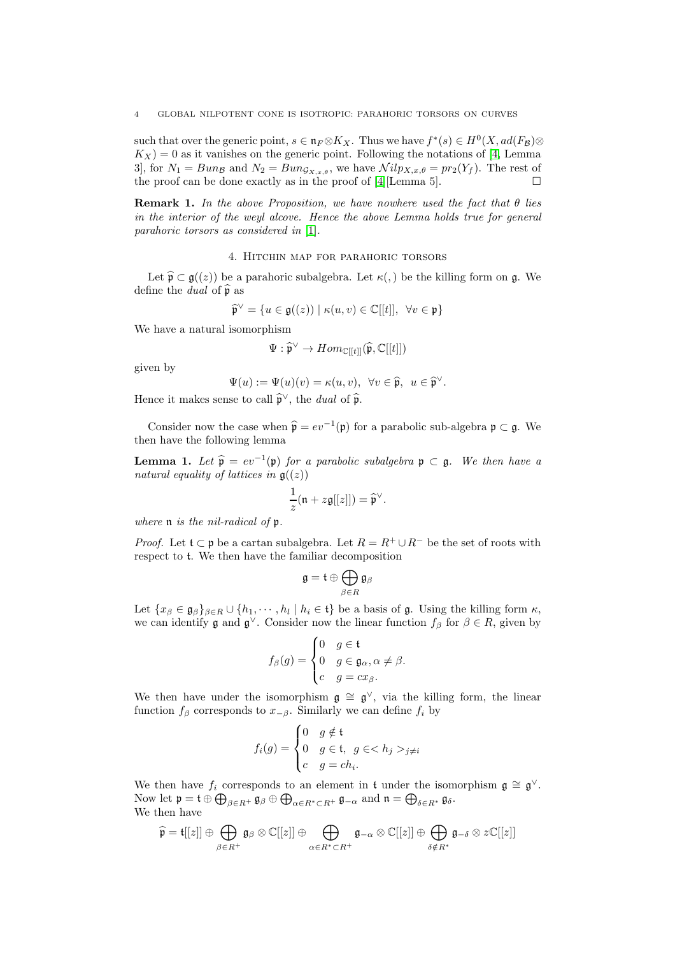such that over the generic point,  $s \in \mathfrak{n}_F \otimes K_X$ . Thus we have  $f^*(s) \in H^0(X, ad(F_B) \otimes$  $K_X$ ) = 0 as it vanishes on the generic point. Following the notations of [\[4,](#page-10-0) Lemma 3], for  $N_1 = Bun_{\mathcal{B}}$  and  $N_2 = Bun_{\mathcal{G}_{X,x,\theta}}$ , we have  $Nilp_{X,x,\theta} = pr_2(Y_f)$ . The rest of the proof can be done exactly as in the proof of [\[4\]](#page-10-0)[Lemma 5].

Remark 1. *In the above Proposition, we have nowhere used the fact that* θ *lies in the interior of the weyl alcove. Hence the above Lemma holds true for general parahoric torsors as considered in* [\[1\]](#page-10-3)*.*

## 4. Hitchin map for parahoric torsors

Let  $\widehat{\mathfrak{p}} \subset \mathfrak{g}((z))$  be a parahoric subalgebra. Let  $\kappa($ ,  $)$  be the killing form on g. We define the *dual* of  $\hat{\mathfrak{p}}$  as

$$
\widehat{\mathfrak{p}}^{\vee} = \{ u \in \mathfrak{g}((z)) \mid \kappa(u, v) \in \mathbb{C}[[t]], \ \forall v \in \mathfrak{p} \}
$$

We have a natural isomorphism

$$
\Psi:\widehat{\mathfrak{p}}^\vee\rightarrow Hom_{\mathbb{C}[[t]]}(\widehat{\mathfrak{p}},\mathbb{C}[[t]])
$$

given by

$$
\Psi(u) := \Psi(u)(v) = \kappa(u, v), \ \forall v \in \widehat{\mathfrak{p}}, \ u \in \widehat{\mathfrak{p}}^{\vee}.
$$

Hence it makes sense to call  $\hat{\mathfrak{p}}^{\vee}$ , the *dual* of  $\hat{\mathfrak{p}}$ .

Consider now the case when  $\hat{\mathfrak{p}} = ev^{-1}(\mathfrak{p})$  for a parabolic sub-algebra  $\mathfrak{p} \subset \mathfrak{g}$ . We then have the following lemma

<span id="page-3-0"></span>**Lemma 1.** Let  $\widehat{\mathfrak{p}} = ev^{-1}(\mathfrak{p})$  *for a parabolic subalgebra*  $\mathfrak{p} \subset \mathfrak{g}$ *. We then have a natural equality of lattices in*  $\mathfrak{g}((z))$ 

$$
\frac{1}{z}(\mathfrak{n}+z\mathfrak{g}[[z]])=\widehat{\mathfrak{p}}^{\vee}.
$$

*where* n *is the nil-radical of* p*.*

*Proof.* Let  $\mathfrak{t} \subset \mathfrak{p}$  be a cartan subalgebra. Let  $R = R^+ \cup R^-$  be the set of roots with respect to t. We then have the familiar decomposition

$$
\mathfrak{g}=\mathfrak{t}\oplus\bigoplus_{\beta\in R}\mathfrak{g}_{\beta}
$$

Let  $\{x_{\beta} \in \mathfrak{g}_{\beta}\}_{\beta \in R} \cup \{h_1, \cdots, h_l \mid h_i \in \mathfrak{t}\}\$ be a basis of  $\mathfrak{g}$ . Using the killing form  $\kappa$ , we can identify  $\mathfrak g$  and  $\mathfrak g^\vee$ . Consider now the linear function  $f_\beta$  for  $\beta \in R$ , given by

$$
f_{\beta}(g) = \begin{cases} 0 & g \in \mathfrak{t} \\ 0 & g \in \mathfrak{g}_{\alpha}, \alpha \neq \beta. \\ c & g = cx_{\beta}. \end{cases}
$$

We then have under the isomorphism  $\mathfrak{g} \cong \mathfrak{g}^{\vee}$ , via the killing form, the linear function  $f_\beta$  corresponds to  $x_{-\beta}$ . Similarly we can define  $f_i$  by

$$
f_i(g) = \begin{cases} 0 & g \notin \mathfrak{t} \\ 0 & g \in \mathfrak{t}, g \in < h_j >_{j \neq i} \\ c & g = ch_i. \end{cases}
$$

We then have  $f_i$  corresponds to an element in t under the isomorphism  $\mathfrak{g} \cong \mathfrak{g}^{\vee}$ . Now let  $\mathfrak{p} = \mathfrak{t} \oplus \bigoplus_{\beta \in R^+} \mathfrak{g}_{\beta} \oplus \bigoplus_{\alpha \in R^* \subset R^+} \mathfrak{g}_{-\alpha}$  and  $\mathfrak{n} = \bigoplus_{\delta \in R^*} \mathfrak{g}_{\delta}$ . We then have

$$
\widehat{\mathfrak{p}} = \mathfrak{t}[[z]] \oplus \bigoplus_{\beta \in R^+} \mathfrak{g}_{\beta} \otimes \mathbb{C}[[z]] \oplus \bigoplus_{\alpha \in R^* \subset R^+} \mathfrak{g}_{-\alpha} \otimes \mathbb{C}[[z]] \oplus \bigoplus_{\delta \notin R^*} \mathfrak{g}_{-\delta} \otimes z\mathbb{C}[[z]]
$$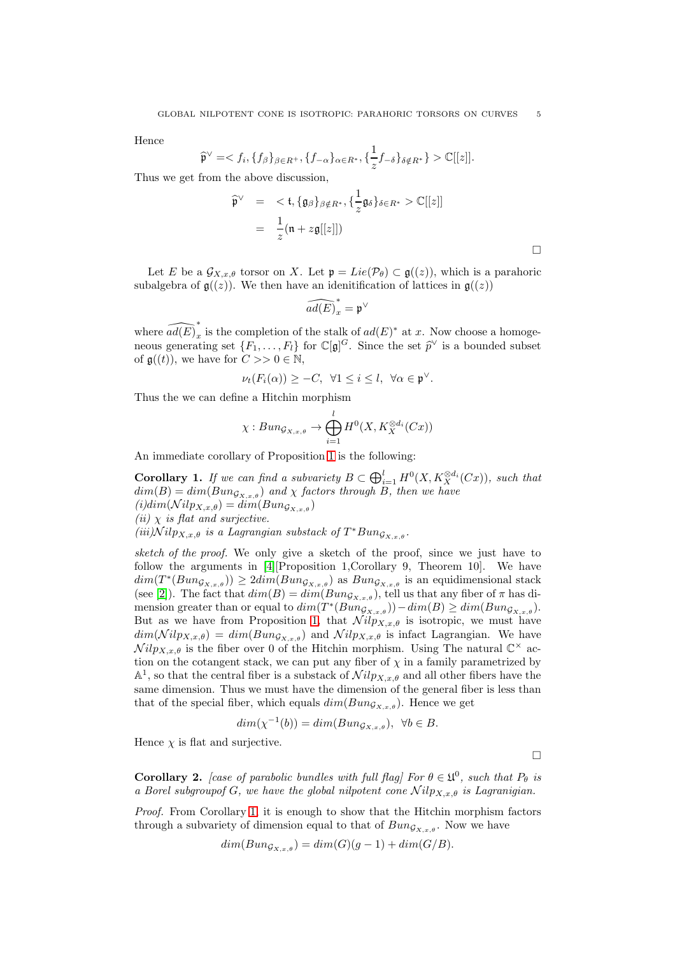Hence

$$
\widehat{\mathfrak{p}}^{\vee} = \langle f_i, \{f_{\beta}\}_{\beta \in R^+}, \{f_{-\alpha}\}_{\alpha \in R^*}, \{\frac{1}{z}f_{-\delta}\}_{\delta \notin R^*}\} \rangle \mathbb{C}[[z]].
$$

Thus we get from the above discussion,

$$
\widehat{\mathfrak{p}}^{\vee} = \langle \mathfrak{t}, \{ \mathfrak{g}_{\beta} \}_{\beta \notin R^*}, \{ \frac{1}{z} \mathfrak{g}_{\delta} \}_{\delta \in R^*} \rangle \mathbb{C}[[z]]
$$
  

$$
= \frac{1}{z} (\mathfrak{n} + z \mathfrak{g}[[z]])
$$

Let E be a  $\mathcal{G}_{X,x,\theta}$  torsor on X. Let  $\mathfrak{p} = Lie(\mathcal{P}_{\theta}) \subset \mathfrak{g}((z))$ , which is a parahoric subalgebra of  $\mathfrak{g}((z))$ . We then have an idenitification of lattices in  $\mathfrak{g}((z))$ 

$$
\widehat{ad(E)}_x^*=\mathfrak{p}^\vee
$$

where  $\widehat{ad(E)}_x^*$ x is the completion of the stalk of  $ad(E)^*$  at x. Now choose a homogeneous generating set  $\{F_1, \ldots, F_l\}$  for  $\mathbb{C}[\mathfrak{g}]^G$ . Since the set  $\widehat{p}^{\vee}$  is a bounded subset of  $\mathfrak{g}((t))$ , we have for  $C >> 0 \in \mathbb{N}$ ,

$$
\nu_t(F_i(\alpha)) \geq -C, \ \forall 1 \leq i \leq l, \ \forall \alpha \in \mathfrak{p}^{\vee}.
$$

Thus the we can define a Hitchin morphism

$$
\chi: Bun_{\mathcal{G}_{X,x,\theta}}\to \bigoplus_{i=1}^l H^0(X,K_X^{\otimes d_i}(Cx))
$$

An immediate corollary of Proposition [1](#page-2-1) is the following:

<span id="page-4-0"></span>Corollary 1. *If we can find a subvariety*  $B \subset \bigoplus_{i=1}^l H^0(X, K_X^{\otimes d_i}(Cx))$ *, such that*  $dim(B) = dim(Bun_{G_{X,x,\theta}})$  and  $\chi$  factors through  $B$ , then we have  $(i)dim(\mathcal{N}ilp_{X,x,\theta}) = dim(Bun_{\mathcal{G}_{X,x,\theta}})$ *(ii)* χ *is flat and surjective.*  $(iii)$  $Nilp_{X,x,\theta}$  *is a Lagrangian substack of*  $T^*Bun_{\mathcal{G}_{X,x,\theta}}$ .

*sketch of the proof.* We only give a sketch of the proof, since we just have to follow the arguments in [\[4\]](#page-10-0)[Proposition 1,Corollary 9, Theorem 10]. We have  $dim(T^*(Bun_{\mathcal{G}_{X,x,\theta}})) \geq 2dim(Bun_{\mathcal{G}_{X,x,\theta}})$  as  $Bun_{\mathcal{G}_{X,x,\theta}}$  is an equidimensional stack (see [\[2\]](#page-10-2)). The fact that  $dim(B) = dim(Bun_{G_{X,x,\theta}})$ , tell us that any fiber of  $\pi$  has dimension greater than or equal to  $dim(T^*(Bun_{\mathcal{G}_{X,x,\theta}})) - dim(B) \geq dim(Bun_{\mathcal{G}_{X,x,\theta}}).$ But as we have from Proposition [1,](#page-2-1) that  $Nilp_{X,x,\theta}$  is isotropic, we must have  $dim(\text{Nilp}_{X,x,\theta}) = dim(\text{Bun}_{\mathcal{G}_{X,x,\theta}})$  and  $\text{Nilp}_{X,x,\theta}$  is infact Lagrangian. We have  $Nilp_{X,x,\theta}$  is the fiber over 0 of the Hitchin morphism. Using The natural  $\mathbb{C}^{\times}$  action on the cotangent stack, we can put any fiber of  $\chi$  in a family parametrized by  $\mathbb{A}^1$ , so that the central fiber is a substack of  $\mathcal{N}ilp_{X,x,\theta}$  and all other fibers have the same dimension. Thus we must have the dimension of the general fiber is less than that of the special fiber, which equals  $dim(Bun_{G_{X,x,\theta}})$ . Hence we get

$$
dim(\chi^{-1}(b)) = dim(Bun_{\mathcal{G}_{X,x,\theta}}), \ \forall b \in B.
$$

Hence  $\chi$  is flat and surjective.

**Corollary 2.** [case of parabolic bundles with full flag] For  $\theta \in \mathfrak{U}^0$ , such that  $P_{\theta}$  is *a Borel subgroupof* G, we have the global nilpotent cone  $Nilp_{X,x,\theta}$  is Lagranigian.

 $\Box$ 

*Proof.* From Corollary [1,](#page-4-0) it is enough to show that the Hitchin morphism factors through a subvariety of dimension equal to that of  $Bun_{\mathcal{G}_{X,x,\theta}}$ . Now we have

$$
dim(Bun_{\mathcal{G}_{X,x,\theta}}) = dim(G)(g-1) + dim(G/B).
$$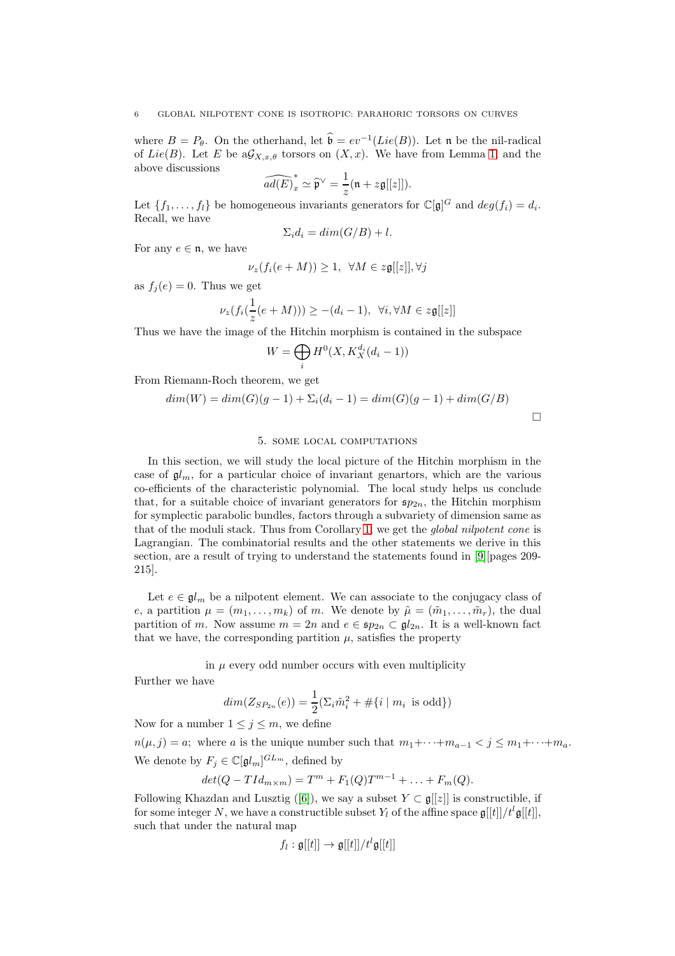where  $B = P_{\theta}$ . On the otherhand, let  $\mathfrak{b} = ev^{-1}(Lie(B))$ . Let n be the nil-radical of Lie(B). Let E be  $aG_{X,x,\theta}$  torsors on  $(X, x)$ . We have from Lemma [1,](#page-3-0) and the above discussions

$$
\widehat{ad(E)}_x^* \simeq \widehat{\mathfrak{p}}^\vee = \frac{1}{z}(\mathfrak{n} + z\mathfrak{g}[[z]]).
$$

Let  $\{f_1, \ldots, f_l\}$  be homogeneous invariants generators for  $\mathbb{C}[\mathfrak{g}]^G$  and  $deg(f_i) = d_i$ . Recall, we have

$$
\Sigma_i d_i = \dim(G/B) + l.
$$

For any  $e \in \mathfrak{n}$ , we have

$$
\nu_z(f_i(e+M)) \ge 1, \ \ \forall M \in z\mathfrak{g}[[z]], \forall j
$$

as  $f_j(e) = 0$ . Thus we get

$$
\nu_z(f_i(\frac{1}{z}(e+M))) \geq -(d_i-1), \ \forall i, \forall M \in z\mathfrak{g}[[z]]
$$

Thus we have the image of the Hitchin morphism is contained in the subspace

$$
W = \bigoplus_i H^0(X, K_X^{d_i}(d_i - 1))
$$

From Riemann-Roch theorem, we get

$$
dim(W) = dim(G)(g-1) + \sum_{i} (d_i - 1) = dim(G)(g-1) + dim(G/B)
$$

## 5. some local computations

In this section, we will study the local picture of the Hitchin morphism in the case of  $\mathfrak{gl}_m$ , for a particular choice of invariant genartors, which are the various co-efficients of the characteristic polynomial. The local study helps us conclude that, for a suitable choice of invariant generators for  $\mathfrak{sp}_{2n}$ , the Hitchin morphism for symplectic parabolic bundles, factors through a subvariety of dimension same as that of the moduli stack. Thus from Corollary [1,](#page-4-0) we get the *global nilpotent cone* is Lagrangian. The combinatorial results and the other statements we derive in this section, are a result of trying to understand the statements found in [\[9\]](#page-10-5)[pages 209- 215].

Let  $e \in \mathfrak{gl}_m$  be a nilpotent element. We can associate to the conjugacy class of e, a partition  $\mu = (m_1, \ldots, m_k)$  of m. We denote by  $\tilde{\mu} = (\tilde{m}_1, \ldots, \tilde{m}_r)$ , the dual partition of m. Now assume  $m = 2n$  and  $e \in \mathfrak{sp}_{2n} \subset \mathfrak{gl}_{2n}$ . It is a well-known fact that we have, the corresponding partition  $\mu$ , satisfies the property

in  $\mu$  every odd number occurs with even multiplicity

Further we have

$$
dim(Z_{SP_{2n}}(e)) = \frac{1}{2}(\Sigma_i \tilde{m}_i^2 + #\{i \mid m_i \text{ is odd}\})
$$

Now for a number  $1 \leq j \leq m$ , we define

 $n(\mu, j) = a$ ; where a is the unique number such that  $m_1 + \cdots + m_{a-1} < j \leq m_1 + \cdots + m_a$ . We denote by  $F_j \in \mathbb{C}[\mathfrak{gl}_m]^{GL_m}$ , defined by

$$
det(Q - TId_{m \times m}) = T^{m} + F_1(Q)T^{m-1} + \dots + F_m(Q).
$$

FollowingKhazdan and Lusztig ([\[6\]](#page-10-8)), we say a subset  $Y \subset \mathfrak{g}[[z]]$  is constructible, if for some integer N, we have a constructible subset  $Y_l$  of the affine space  $\mathfrak{g}[[t]]/t^l\mathfrak{g}[[t]]$ , such that under the natural map

$$
f_l: \mathfrak{g}[[t]] \to \mathfrak{g}[[t]]/t^l \mathfrak{g}[[t]]
$$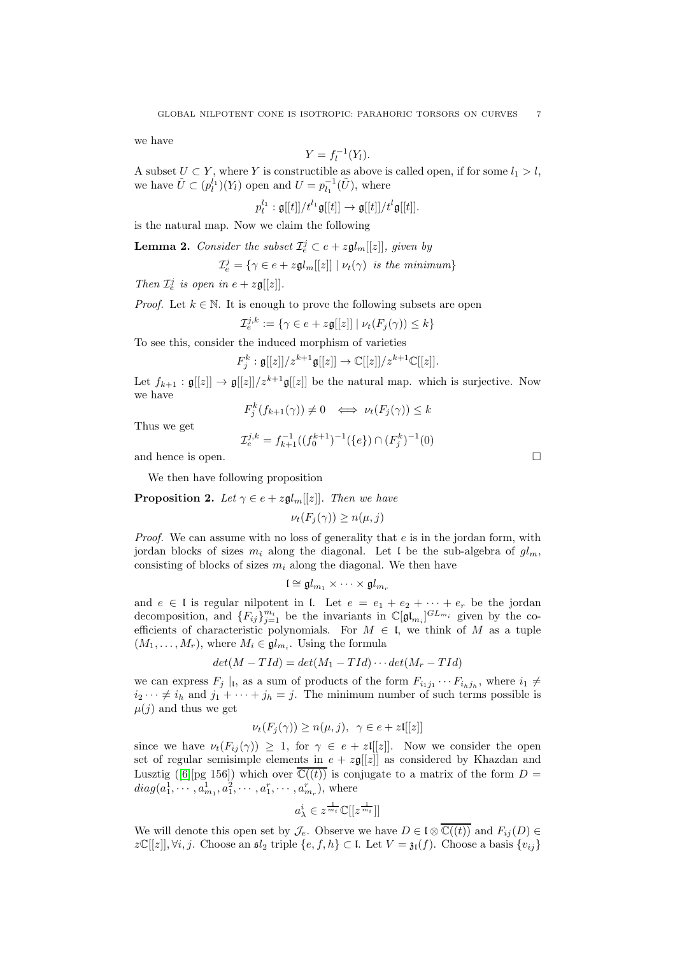we have

$$
Y = f_l^{-1}(Y_l).
$$

A subset  $U \subset Y$ , where Y is constructible as above is called open, if for some  $l_1 > l$ , we have  $\tilde{U} \subset (p_l^{l_1})(Y_l)$  open and  $U = p_{l_1}^{-1}(\tilde{U})$ , where

 $p_l^{l_1}:\mathfrak{g}[[t]]/t^{l_1}\mathfrak{g}[[t]] \rightarrow \mathfrak{g}[[t]]/t^l\mathfrak{g}[[t]].$ 

is the natural map. Now we claim the following

<span id="page-6-0"></span>**Lemma 2.** *Consider the subset*  $\mathcal{I}_e^j \subset e + z \mathfrak{gl}_m[[z]],$  *given by* 

 $\mathcal{I}_e^j = \{ \gamma \in e + z \mathfrak{gl}_m[[z]] \mid \nu_t(\gamma) \text{ is the minimum} \}$ 

*Then*  $\mathcal{I}_e^j$  *is open in*  $e + z\mathfrak{g}[[z]]$ *.* 

*Proof.* Let  $k \in \mathbb{N}$ . It is enough to prove the following subsets are open

$$
\mathcal{I}_e^{j,k} := \{ \gamma \in e + z\mathfrak{g}[[z]] \mid \nu_t(F_j(\gamma)) \le k \}
$$

To see this, consider the induced morphism of varieties

$$
F_j^k: \mathfrak{g}[[z]]/z^{k+1}\mathfrak{g}[[z]] \to \mathbb{C}[[z]]/z^{k+1}\mathbb{C}[[z]].
$$

Let  $f_{k+1} : \mathfrak{g}[[z]] \to \mathfrak{g}[[z]]/z^{k+1}\mathfrak{g}[[z]]$  be the natural map. which is surjective. Now we have

$$
F_j^k(f_{k+1}(\gamma)) \neq 0 \iff \nu_t(F_j(\gamma)) \leq k
$$

Thus we get

$$
\mathcal{I}_e^{j,k} = f_{k+1}^{-1}((f_0^{k+1})^{-1}(\{e\}) \cap (F_j^k)^{-1}(0)
$$

and hence is open.

We then have following proposition

**Proposition 2.** *Let*  $\gamma \in e + z \mathfrak{gl}_m[[z]]$ *. Then we have* 

 $\nu_t(F_i(\gamma)) \geq n(\mu, i)$ 

*Proof.* We can assume with no loss of generality that e is in the jordan form, with jordan blocks of sizes  $m_i$  along the diagonal. Let I be the sub-algebra of  $gl_m$ , consisting of blocks of sizes  $m_i$  along the diagonal. We then have

$$
\mathfrak{l}\cong \mathfrak{gl}_{m_1}\times \cdots \times \mathfrak{gl}_{m_r}
$$

and  $e \in I$  is regular nilpotent in l. Let  $e = e_1 + e_2 + \cdots + e_r$  be the jordan decomposition, and  $\{F_{ij}\}_{j=1}^{m_i}$  be the invariants in  $\mathbb{C}[\mathfrak{gl}_{m_i}]^{GL_{m_i}}$  given by the coefficients of characteristic polynomials. For  $M \in \mathfrak{l}$ , we think of M as a tuple  $(M_1, \ldots, M_r)$ , where  $M_i \in \mathfrak{gl}_{m_i}$ . Using the formula

$$
det(M-TId) = det(M_1-TId) \cdots det(M_r-TId)
$$

we can express  $F_j |_{\mathfrak{l}}$ , as a sum of products of the form  $F_{i_1j_1} \cdots F_{i_hj_h}$ , where  $i_1 \neq$  $i_2 \cdots \neq i_h$  and  $j_1 + \cdots + j_h = j$ . The minimum number of such terms possible is  $\mu(i)$  and thus we get

$$
\nu_t(F_j(\gamma)) \ge n(\mu, j), \ \ \gamma \in e + z[[z]]
$$

since we have  $\nu_t(F_{ij}(\gamma)) \geq 1$ , for  $\gamma \in e + z[[z]]$ . Now we consider the open set of regular semisimple elements in  $e + z\mathfrak{g}[[z]]$  as considered by Khazdan and Lusztig([\[6\]](#page-10-8)[pg 156]) which over  $\mathbb{C}((t))$  is conjugate to a matrix of the form  $D =$  $diag(a_1^1, \cdots, a_{m_1}^1, a_1^2, \cdots, a_1^r, \cdots, a_{m_r}^r),$  where

$$
a^i_{\lambda} \in z^{\frac{1}{m_i}} \mathbb{C}[[z^{\frac{1}{m_i}}]]
$$

We will denote this open set by  $\mathcal{J}_e$ . Observe we have  $D \in \mathfrak{l} \otimes \overline{\mathbb{C}((t))}$  and  $F_{ij}(D) \in$  $z\mathbb{C}[[z]], \forall i, j.$  Choose an  $\mathfrak{sl}_2$  triple  $\{e, f, h\} \subset \mathfrak{l}$ . Let  $V = \mathfrak{z}_\mathfrak{l}(f)$ . Choose a basis  $\{v_{ij}\}\$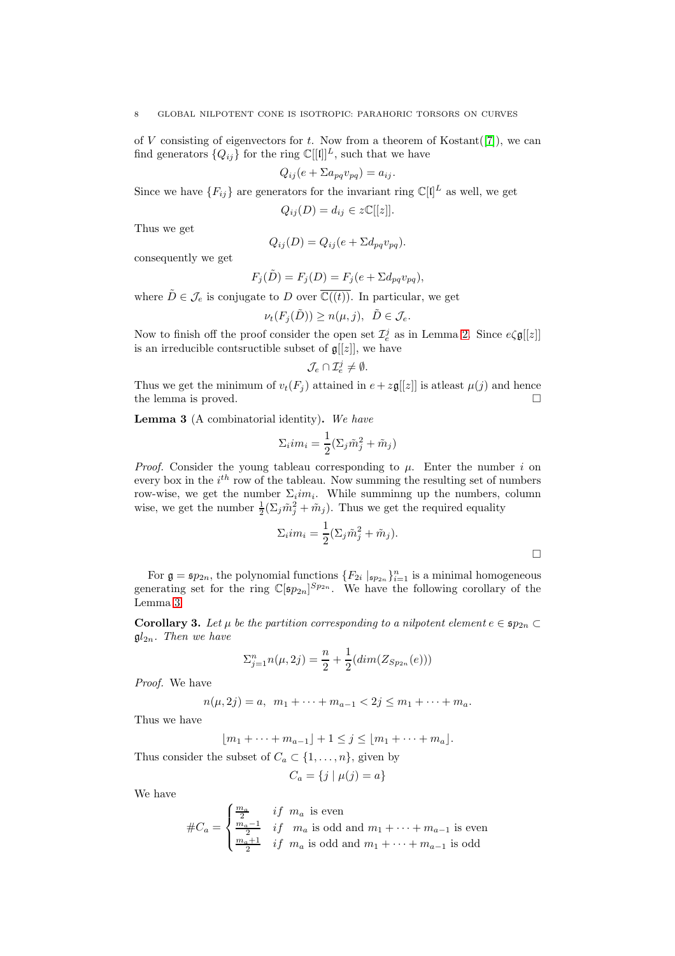#### 8 GLOBAL NILPOTENT CONE IS ISOTROPIC: PARAHORIC TORSORS ON CURVES

of V consisting of eigenvectors for  $t$ . Now from a theorem of Kostant([\[7\]](#page-10-9)), we can find generators  $\{Q_{ij}\}\$ for the ring  $\mathbb{C}[[\mathfrak{l}]]^L$ , such that we have

$$
Q_{ij}(e + \Sigma a_{pq} v_{pq}) = a_{ij}.
$$

Since we have  ${F_{ij}}$  are generators for the invariant ring  $\mathbb{C}[\mathbf{I}]^L$  as well, we get

$$
Q_{ij}(D) = d_{ij} \in z\mathbb{C}[[z]].
$$

Thus we get

$$
Q_{ij}(D) = Q_{ij}(e + \Sigma d_{pq}v_{pq}).
$$

consequently we get

$$
F_j(\tilde{D}) = F_j(D) = F_j(e + \Sigma d_{pq} v_{pq}),
$$

where  $\tilde{D} \in \mathcal{J}_e$  is conjugate to D over  $\overline{\mathbb{C}((t))}$ . In particular, we get

$$
\nu_t(F_j(\tilde{D})) \ge n(\mu, j), \ \ \tilde{D} \in \mathcal{J}_e.
$$

Now to finish off the proof consider the open set  $\mathcal{I}_e^j$  as in Lemma [2.](#page-6-0) Since  $e \zeta \mathfrak{g}[[z]]$ is an irreducible contsructible subset of  $\mathfrak{g}[[z]]$ , we have

$$
\mathcal{J}_e \cap \mathcal{I}_e^j \neq \emptyset.
$$

Thus we get the minimum of  $v_t(F_i)$  attained in  $e + z\mathfrak{g}[[z]]$  is at least  $\mu(j)$  and hence the lemma is proved.

<span id="page-7-0"></span>Lemma 3 (A combinatorial identity). *We have*

$$
\Sigma_i im_i = \frac{1}{2} (\Sigma_j \tilde{m}_j^2 + \tilde{m}_j)
$$

*Proof.* Consider the young tableau corresponding to  $\mu$ . Enter the number i on every box in the  $i^{th}$  row of the tableau. Now summing the resulting set of numbers row-wise, we get the number  $\Sigma_i$ *im*<sub>i</sub>. While summinng up the numbers, column wise, we get the number  $\frac{1}{2}(\Sigma_j \tilde{m}_j^2 + \tilde{m}_j)$ . Thus we get the required equality

$$
\Sigma_i i m_i = \frac{1}{2} (\Sigma_j \tilde{m}_j^2 + \tilde{m}_j).
$$

For  $\mathfrak{g} = \mathfrak{sp}_{2n}$ , the polynomial functions  $\{F_{2i} \mid_{\mathfrak{sp}_{2n}}\}_{i=1}^n$  is a minimal homogeneous generating set for the ring  $\mathbb{C}[\mathfrak{sp}_{2n}]^{Sp_{2n}}$ . We have the following corollary of the Lemma [3](#page-7-0)

<span id="page-7-1"></span>**Corollary 3.** Let  $\mu$  be the partition corresponding to a nilpotent element  $e \in \mathfrak{sp}_{2n} \subset$  $\mathfrak{gl}_{2n}$ *. Then we have* 

$$
\sum_{j=1}^{n} n(\mu, 2j) = \frac{n}{2} + \frac{1}{2} (dim(Z_{Sp_{2n}}(e)))
$$

*Proof.* We have

$$
n(\mu, 2j) = a, \ \ m_1 + \cdots + m_{a-1} < 2j \le m_1 + \cdots + m_a.
$$

Thus we have

 $|m_1 + \cdots + m_{a-1}| + 1 \leq j \leq |m_1 + \cdots + m_a|$ .

Thus consider the subset of  $C_a \subset \{1, \ldots, n\}$ , given by

$$
C_a = \{ j \mid \mu(j) = a \}
$$

We have

$$
\#C_a = \begin{cases} \frac{m_a}{2} & if \ m_a \text{ is even} \\ \frac{m_a-1}{2} & if \ m_a \text{ is odd and } m_1 + \dots + m_{a-1} \text{ is even} \\ \frac{m_a+1}{2} & if \ m_a \text{ is odd and } m_1 + \dots + m_{a-1} \text{ is odd} \end{cases}
$$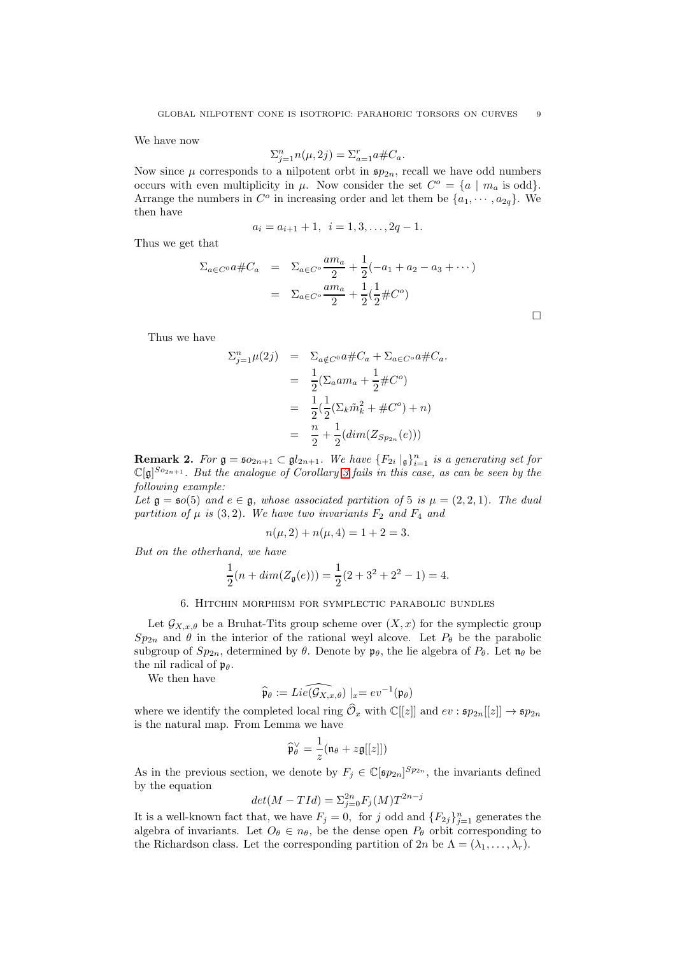We have now

$$
\Sigma_{j=1}^n n(\mu, 2j) = \Sigma_{a=1}^r a \# C_a.
$$

Now since  $\mu$  corresponds to a nilpotent orbt in  $\mathfrak{sp}_{2n}$ , recall we have odd numbers occurs with even multiplicity in  $\mu$ . Now consider the set  $C^o = \{a \mid m_a \text{ is odd}\}.$ Arrange the numbers in  $C^o$  in increasing order and let them be  $\{a_1, \dots, a_{2q}\}.$  We then have

$$
a_i = a_{i+1} + 1, \ i = 1, 3, \dots, 2q - 1.
$$

Thus we get that

$$
\Sigma_{a \in C^0} a \# C_a = \Sigma_{a \in C^0} \frac{am_a}{2} + \frac{1}{2}(-a_1 + a_2 - a_3 + \cdots)
$$
  
=  $\Sigma_{a \in C^0} \frac{am_a}{2} + \frac{1}{2}(\frac{1}{2} \# C^0)$ 

 $\Box$ 

Thus we have

$$
\Sigma_{j=1}^{n} \mu(2j) = \Sigma_{a \notin C^0} a \# C_a + \Sigma_{a \in C^0} a \# C_a.
$$
  
= 
$$
\frac{1}{2} (\Sigma_a a m_a + \frac{1}{2} \# C^0)
$$
  
= 
$$
\frac{1}{2} (\frac{1}{2} (\Sigma_k \tilde{m}_k^2 + \# C^0) + n)
$$
  
= 
$$
\frac{n}{2} + \frac{1}{2} (dim(Z_{Sp_{2n}}(e)))
$$

**Remark 2.** For  $\mathfrak{g} = \mathfrak{so}_{2n+1} \subset \mathfrak{gl}_{2n+1}$ . We have  $\{F_{2i} \mid_{\mathfrak{g}}\}_{i=1}^n$  is a generating set for  $\mathbb{C}[\mathfrak{g}]^{So_{2n+1}}$ *. But the analogue of Corollary [3](#page-7-1) fails in this case, as can be seen by the following example:*

*Let*  $\mathfrak{g} = \mathfrak{so}(5)$  *and*  $e \in \mathfrak{g}$ *, whose associated partition of* 5 *is*  $\mu = (2, 2, 1)$ *. The dual partition of*  $\mu$  *is* (3,2)*. We have two invariants*  $F_2$  *and*  $F_4$  *and* 

$$
n(\mu, 2) + n(\mu, 4) = 1 + 2 = 3.
$$

*But on the otherhand, we have*

$$
\frac{1}{2}(n + \dim(Z_{\mathfrak{g}}(e))) = \frac{1}{2}(2 + 3^2 + 2^2 - 1) = 4.
$$

### 6. Hitchin morphism for symplectic parabolic bundles

Let  $\mathcal{G}_{X,x,\theta}$  be a Bruhat-Tits group scheme over  $(X,x)$  for the symplectic group  $Sp_{2n}$  and  $\theta$  in the interior of the rational weyl alcove. Let  $P_{\theta}$  be the parabolic subgroup of  $Sp_{2n}$ , determined by  $\theta$ . Denote by  $\mathfrak{p}_{\theta}$ , the lie algebra of  $P_{\theta}$ . Let  $\mathfrak{n}_{\theta}$  be the nil radical of  $\mathfrak{p}_{\theta}$ .

We then have

$$
\widehat{\mathfrak{p}}_{\theta} := Lie(\widehat{\mathcal{G}_{X,x,\theta}}) \mid_x = ev^{-1}(\mathfrak{p}_{\theta})
$$

where we identify the completed local ring  $\widehat{\mathcal{O}}_x$  with  $\mathbb{C}[[z]]$  and  $ev : \mathfrak{sp}_{2n}[[z]] \to \mathfrak{sp}_{2n}$ is the natural map. From Lemma we have

$$
\widehat{\mathfrak{p}}_{\theta}^{\vee} = \frac{1}{z} (\mathfrak{n}_{\theta} + z \mathfrak{g}[[z]])
$$

As in the previous section, we denote by  $F_j \in \mathbb{C}[\mathfrak{sp}_{2n}]^{Sp_{2n}}$ , the invariants defined by the equation

$$
det(M - TId) = \sum_{j=0}^{2n} F_j(M) T^{2n-j}
$$

It is a well-known fact that, we have  $F_j = 0$ , for j odd and  $\{F_{2j}\}_{j=1}^n$  generates the algebra of invariants. Let  $O_\theta \in n_\theta$ , be the dense open  $P_\theta$  orbit corresponding to the Richardson class. Let the corresponding partition of  $2n$  be  $\Lambda = (\lambda_1, \ldots, \lambda_r)$ .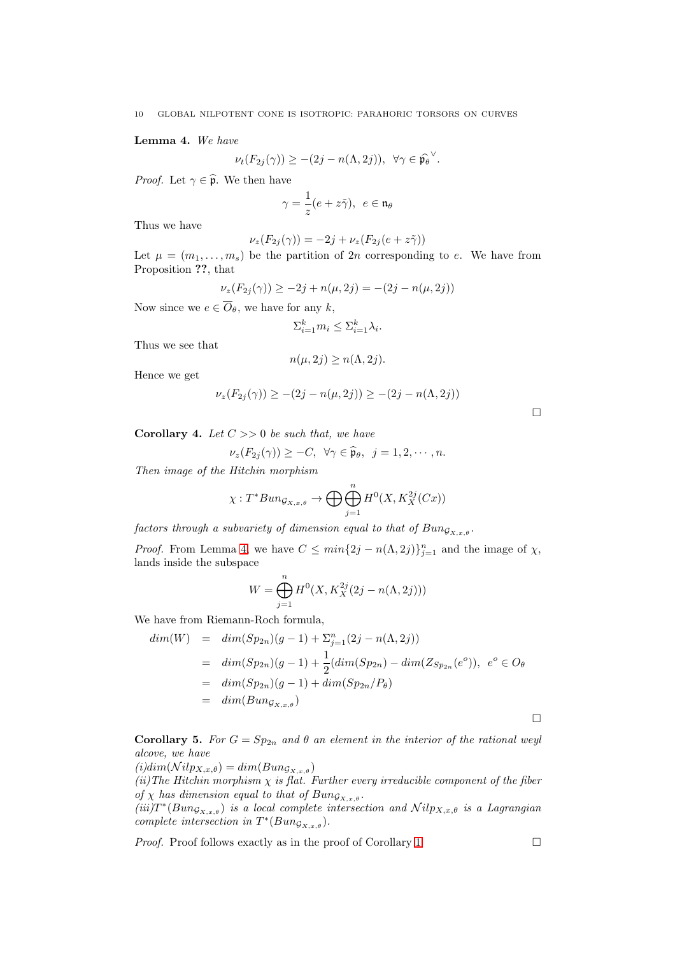<span id="page-9-0"></span>Lemma 4. *We have*

$$
\nu_t(F_{2j}(\gamma)) \geq -(2j - n(\Lambda, 2j)), \ \forall \gamma \in \widehat{\mathfrak{p}_{\theta}}^{\vee}.
$$

*Proof.* Let  $\gamma \in \widehat{\mathfrak{p}}$ . We then have

$$
\gamma=\frac{1}{z}(e+z\tilde{\gamma}),\ e\in\mathfrak{n}_\theta
$$

Thus we have

$$
\nu_z(F_{2j}(\gamma)) = -2j + \nu_z(F_{2j}(e + z\tilde{\gamma}))
$$

Let  $\mu = (m_1, \ldots, m_s)$  be the partition of  $2n$  corresponding to e. We have from Proposition ??, that

$$
\nu_z(F_{2j}(\gamma)) \ge -2j + n(\mu, 2j) = -(2j - n(\mu, 2j))
$$

Now since we  $e \in \overline{O}_{\theta}$ , we have for any k,

$$
\Sigma_{i=1}^k m_i \leq \Sigma_{i=1}^k \lambda_i.
$$

Thus we see that

$$
n(\mu, 2j) \ge n(\Lambda, 2j).
$$

Hence we get

$$
\nu_z(F_{2j}(\gamma)) \geq -(2j - n(\mu, 2j)) \geq -(2j - n(\Lambda, 2j))
$$

Corollary 4. *Let* C >> 0 *be such that, we have*

$$
\nu_z(F_{2j}(\gamma)) \geq -C, \ \ \forall \gamma \in \widehat{\mathfrak{p}}_{\theta}, \ \ j=1,2,\cdots,n.
$$

*Then image of the Hitchin morphism*

$$
\chi: T^*Bun_{\mathcal{G}_{X,x,\theta}} \to \bigoplus \bigoplus_{j=1}^n H^0(X, K_X^{2j}(Cx))
$$

*factors through a subvariety of dimension equal to that of*  $Bun_{\mathcal{G}_{X,x,\theta}}$ .

*Proof.* From Lemma [4,](#page-9-0) we have  $C \leq min\{2j - n(\Lambda, 2j)\}_{j=1}^n$  and the image of  $\chi$ , lands inside the subspace

$$
W = \bigoplus_{j=1}^{n} H^{0}(X, K_{X}^{2j}(2j - n(\Lambda, 2j)))
$$

We have from Riemann-Roch formula,

$$
dim(W) = dim(Sp_{2n})(g-1) + \sum_{j=1}^{n} (2j - n(\Lambda, 2j))
$$
  
= 
$$
dim(Sp_{2n})(g-1) + \frac{1}{2}(dim(Sp_{2n}) - dim(Z_{Sp_{2n}}(e^o)), e^o \in O_{\theta}
$$
  
= 
$$
dim(Sp_{2n})(g-1) + dim(Sp_{2n}/P_{\theta})
$$
  
= 
$$
dim(Bun_{G_{X,x,\theta}})
$$

**Corollary 5.** *For*  $G = Sp_{2n}$  *and*  $\theta$  *an element in the interior of the rational weyl alcove, we have*

 $(i)dim(\mathcal{N}ilp_{X,x,\theta}) = dim(Bun_{\mathcal{G}_{X,x,\theta}})$ 

*(ii)The Hitchin morphism* χ *is flat. Further every irreducible component of the fiber of*  $\chi$  *has dimension equal to that of*  $Bun_{\mathcal{G}_{X,x,\theta}}$ *.* 

 $(iii) T^*(Bun_{\mathcal{G}_{X,x,\theta}})$  *is a local complete intersection and*  $Nilp_{X,x,\theta}$  *is a Lagrangian complete intersection in*  $T^*(Bun_{\mathcal{G}_{X,x,\theta}})$ *.* 

*Proof.* Proof follows exactly as in the proof of Corollary [1](#page-4-0)

 $\Box$